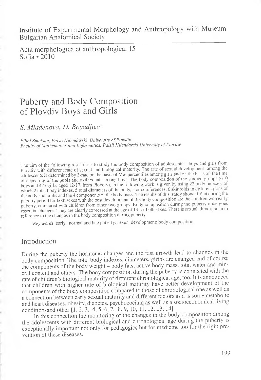Institute of Experimental Morphology and Anthropology with Museum Bulgarian Anatomical Society

Acta morphologica et anthropologica, 15 Sofia \*2010

# Puberty and Body Composition of Plovdiv Boys and Girls

*S. Mladenova, D. Boyadjiev\**

*Filial Smolyan, Paisii Hilenclarski University of Plovdiv* Faculty of Mathematics and Iinformatics, Paisii Hilendarski University of Plovdiv

The aim of the following research is to study the body composition of adolescents - boys and girls from Plovdiv with different rate of sexual and biological maturity. The rate of sexual development among the adolescents is determined by 3-rate on the basis of Me- percentiles among girls and on the basis of the time of appearing of the pubis and axilars hair among boys. The body composition of the studied groups (610 boys and 477 girls, aged 12-17, from Plovdiv), in the following work is given by using 22 body indexes, of which 2 total body indexes, 5 total diameters of the body, 5 circumferences, 6 skinfolds in different parts of the body and limbs and the 4 components of the body mass. The results of this study showed that during the puberty period for both sexes with the best development of the body composition are the children with early puberty, compared with children from other two groups. Body composition during the puberty undergoes essential changes. They are clearly expressed at the age of 14 for both sexes. There is sexual dimorphism in reference to the changes in the body composition during puberty.

*Key words:* early, normal and late puberty; sexual development; body composition.

## Introduction

During the puberty the hormonal changes and the fast growth lead to changes in the body composition. The total body indexes, diameters, girths are changed and of course the components of the body weight - body fats, active body mass, total water and mineral content and others. The body composition during the puberty is connected with the rate of children's biological maturity of different chronological age, too. It is announced that children with higher rate of biological maturity have better development of the components of the body composition compared to those of chronological one as well as a connection between early sexual maturity and different factors as а ь some metabolic and heart diseases, obesity, diabetes, psychococialq as well as a socioeconomical living conditionsand other [1, 2, 3, 4, 5, 6, 7, 8, 9, 10, 11, 12, 13, 14].

In this connection the monitoring of the changes in the body composition among the adolescents with different biological and chronological age during the puberty is exceptionally important not only for pedagogics but for medicine too for the right prevention of these diseases.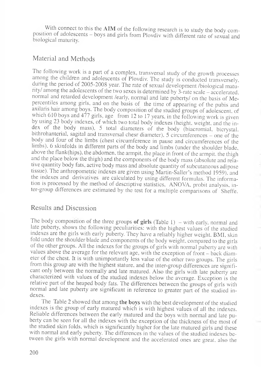With connect to this the AIM of the following research is to study the body composition of adolescents — boys and girls from Plovdiv with different rate of sexual and biological maturity.

# Material and Methods

The following work is a part of a complex, transversal study of the growth processes among the childien and adolescents of Plovdiv. The study is conducted transversely, during the period of 2005-2008 year. The rate of sexual development /biological maturity/ among the adolescents of the two sexes is determined by 3 -rate scale - accelerated, normal and retarded development /early, normal and late puberty/ on the basis of Mepercentiles among girls, and on the basis of the time of appearing of the pubis and axilaris hair among boys. The body composition of the studied groups of adolescent, of which 610 boys and 477 girls, age from 12 to 17 years, in the following work is given by using 23 body indexes, of which two total body indexes (height, weight, and the index of the body mass), 5 total diameters of the body (biacromial. bicrystal, bithrohanterial, sagital and transversal chesr diameter), 5 circumferences – one of the body and four of the limbs (chest circumference in pause and circumferences of the limbs), 6 skinfolds in different parts of the body and limbs (under the shoulder blade, above the flank(hips), the abdomen, the armpit, the place in front of the armpit, the thigh and the place below the thigh) and the components of the body mass (absolute and relative quantity body fats, active body mass and absolute quantity of subcutaneous adipose tissue). The anthropometric indexes are given using Martin-Sailer's method 1959), and the indexes and derivatives are calculated by using different formulas. The information is piocessed by the method of descriptive statistics, ANOVA, probit analysis, inter-group differences are estimated by the test for a multiple comparisons of Sheffe.

## Results and Discussion

The body composition of the three groups of girls  $(Table 1)$  – with early, normal and late puberty, shows the following peculiarities: with the highest values of the studied indexes are the girls with early puberty. They have a reliably higher weight. BMI, skin fold under the shoulder blade and components of the body weight, compared to the girls of the other groups. All the indexes for the groups of girls with normal puberty are with values above the average for the relevant age, with the exception of front - back diameter of the chest. It is with unimportantly less value of the other two groups. The girls from this group are with the highest stature, and the inter-group differences are significant only between the normally and late matured. Also the girls with late puberty are characterized with values of the studied indexes below the average. Exception is the relative part of the heaped body fats. The differences between the groups of girls with normal and late puberty are significant in reference to greater part of the studied indexes.

The Table 2 showed that among **the boys** with the best development of the studied indexes is the group of early matured which is with highest values of all the indexes. Reliable differences between the early matured and the boys with normal and late puberty can be seen for all the indexes with the exception of the thickness of the most of the studied skin folds, which is significantly higher for the late matured girls and these with normal and early puberty. The differences in the values of the studied indexes between the girls with normal development and the accelerated ones are great, also the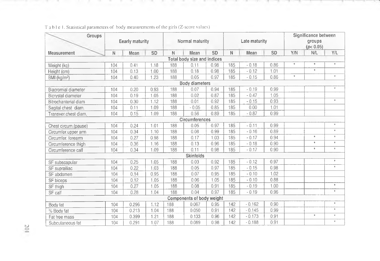| Groups                             | Eearly maturity |       |      | Normal maturity |                  |      |     | Late maturity |           | Significance between<br>qroups<br>(p < 0.05) |         |            |
|------------------------------------|-----------------|-------|------|-----------------|------------------|------|-----|---------------|-----------|----------------------------------------------|---------|------------|
| Measurement                        | N               | Mean  | SD   | $\mathbb N$     | Mean             | SD   | N   | Mean          | <b>SD</b> | Y/N                                          | N/L     | Y/L        |
| <b>Total body size and indices</b> |                 |       |      |                 |                  |      |     |               |           |                                              |         |            |
| Weight (kg)                        | 104             | 0.41  | 1.18 | 188             | 0.11             | 0.98 | 185 | $-0.18$       | 0.86      | $\pm$                                        | $\Phi$  | $\pm$      |
| Height (cm)                        | 104             | 0.13  | 1.00 | 188             | 0.18             | 0.98 | 185 | $-0.12$       | 1.01      |                                              | $\pm$   |            |
| BMI (kg/m <sup>2</sup> )           | 104             | 0.40  | 1.23 | 188             | 0.05             | 0.97 | 185 | $-0.15$       | 0.86      | $\pm$                                        |         | $\star$    |
| <b>Body diameters</b>              |                 |       |      |                 |                  |      |     |               |           |                                              |         |            |
| Biacromial diameter                | 104             | 0.20  | 0.93 | 188             | 0.07             | 0.94 | 185 | $-0.19$       | 0.99      |                                              |         | $\pm$      |
| Bicrystal diameter                 | 104             | 0.19  | 1.05 | 188             | 0.02             | 0.87 | 185 | $-0.47$       | 1.05      |                                              |         |            |
| Bitrochanterial diam               | 104             | 0.30  | 1.12 | 188             | 0.01             | 0.92 | 185 | $-0.15$       | 0.93      |                                              |         | $\pm$      |
| Sagital chest diam.                | 104             | 0.11  | 1.09 | 188             | $-0.05$          | 0.85 | 185 | 0.00          | 1.01      |                                              |         |            |
| Transver.chest diam.               | 104             | 0.15  | 1.09 | 188             | 0.56             | 0.89 | 185 | $-0.87$       | 0.99      |                                              |         |            |
| Circumferences                     |                 |       |      |                 |                  |      |     |               |           |                                              |         |            |
| Chest circum.(pause)               | 104             | 0.24  | 1.01 | 188             | 0.05             | 0.97 | 185 | $-0.11$       | 0.99      |                                              |         | $^{\rm +}$ |
| Circumfer.upper arm                | 104             | 0.34  | 1.10 | 188             | 0.08             | 0.99 | 185 | $-0.16$       | 0.89      |                                              |         | $\pm$      |
| Circumfer, forearm                 | 104             | 0.27  | 0.98 | 188             | 0.17             | 1.03 | 185 | $-0.17$       | 0.94      |                                              | $\pm$   | $\pm$      |
| Circumference thigh                | 104             | 0.36  | 1.16 | 188             | 0.13             | 0.96 | 185 | $-0.18$       | 0.90      |                                              | $\pm$   | $\pm$      |
| Circumference calf                 | 104             | 0.34  | 1.09 | 188             | 0.11             | 0.98 | 185 | $-0.17$       | 0.90      |                                              | $\pm$   | $\pm$      |
|                                    |                 |       |      |                 | <b>Skinfolds</b> |      |     |               |           |                                              |         |            |
| SF subscapular                     | 104             | 0.25  | 1.05 | 188             | 0.03             | 0.92 | 185 | $-0.12$       | 0.97      |                                              |         | $\pm$      |
| SF suprailiac                      | 104             | 0.22  | 1.03 | 188             | 0.05             | 0.97 | 185 | $-0.15$       | 0.98      |                                              |         | $\pm$      |
| SF abdomen                         | 104             | 0.14  | 0.95 | 188             | 0.07             | 0.95 | 185 | $-0.10$       | 1.02      |                                              |         |            |
| SF biceps                          | 104             | 0.12  | 1.05 | 188             | 0.06             | 1.05 | 185 | $-0.10$       | 0.88      |                                              |         |            |
| SF thigh                           | 104             | 0.27  | 1.05 | 188             | 0.08             | 0.91 | 185 | $-0.19$       | 1.00      |                                              |         | $\star$    |
| SF calf                            | 104             | 0.28  | 1.04 | 188             | 0.04             | 0.97 | 185 | $-0.19$       | 0.96      |                                              |         | $\pm$      |
| Components of body weight          |                 |       |      |                 |                  |      |     |               |           |                                              |         |            |
| Body fat                           | 104             | 0.296 | 1.12 | 188             | 0.067            | 0.95 | 142 | $-0.162$      | 0.90      |                                              |         | $\pm$      |
| % Body fat                         | 104             | 0.213 | 1.04 | 188             | 0.050            | 0.91 | 142 | $-0.145$      | 0.99      |                                              |         | $\pm$      |
| Fat free mass                      | 104             | 0.399 | 1.21 | 188             | 0.133            | 0.96 | 142 | $-0.173$      | 0.91      |                                              | $\star$ | $^{\star}$ |
| Subcutaneous fat                   | 104             | 0.291 | 1.07 | 188             | 0.089            | 0.98 | 142 | $-0.188$      | 0.91      |                                              |         | $\pm$      |

.

Table 1. Statistical parameters of body measurements of the girls (Z-score values)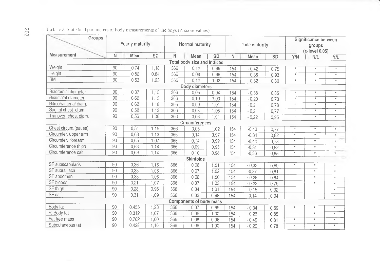| Groups                | Eearly maturity |       |      | Normal maturity |                                |           |     | Late maturity |           | Significance between<br>groups<br>$(p$ -level $0,05)$ |               |                 |
|-----------------------|-----------------|-------|------|-----------------|--------------------------------|-----------|-----|---------------|-----------|-------------------------------------------------------|---------------|-----------------|
| Measurement           | N               | Mean  | SD   | N               | Mean                           | <b>SD</b> | N   | Mean          | <b>SD</b> | Y/N                                                   | N/L           | Y/L             |
|                       |                 |       |      |                 | Total body size and indices    |           |     |               |           |                                                       |               |                 |
| Weight                | 90              | 0.74  | 1,18 | 366             | 0.12                           | 0,99      | 154 | $-0.42$       | 0,75      | $\pm$                                                 | $\pm$         | $\pm$           |
| Height                | 90              | 0,82  | 0,84 | 366             | 0.08                           | 0.96      | 154 | $-0.38$       | 0,93      | $\pm$                                                 | $\pm$         | $\pm$           |
| <b>BMI</b>            | 90              | 0.53  | 1,23 | 366             | 0,12                           | 1.02      | 154 | $-0.32$       | 0,80      | $\star$                                               | $\pm$         | $\pm$           |
|                       |                 |       |      |                 | <b>Body diameters</b>          |           |     |               |           |                                                       |               |                 |
| Biacromial diameter   | 90              | 0,37  | 1.15 | 366             | 0,05                           | 0.94      | 154 | $-0,38$       | 0.85      | $\pm$                                                 | $\star$       | $\star$         |
| Bicristalal diameter  | 90              | 0.62  | 1.13 | 366             | 0.10                           | 1,03      | 154 | $-0.20$       | 0,73      | $\star$                                               | $\pm$         | $\pm$           |
| Bitrochanterial diam. | 90              | 0,62  | 1.18 | 366             | 0.09                           | 1,01      | 154 | $-0.21$       | 0,78      | $\pm$                                                 | $\pm$         | $\star$         |
| Sagital chest diam.   | 90              | 0,52  | 1,13 | 366             | 0.08                           | 1.05      | 154 | $-0.21$       | 0,77      | $\pm$                                                 | $\pm$         | $\pmb{\ast}$    |
| Transver, chest diam. | 90              | 0,56  | 1,06 | 366             | 0.06                           | 1.01      | 154 | $-0.22$       | 0,95      | $\pm$                                                 | $\pm$         | $\pm$           |
| Circumferences        |                 |       |      |                 |                                |           |     |               |           |                                                       |               |                 |
| Chest circum.(pause)  | 90              | 0,54  | 1,15 | 366             | 0,05                           | 1,02      | 154 | $-0,40$       | 0,77      | $\star$                                               | $\star$       | $^\ast$         |
| Circumfer. upper arm  | 90              | 0.63  | 1.13 | 366             | 0,14                           | 0,97      | 154 | $-0,34$       | 0.82      | $\pm$                                                 | $\star$       | $\pm$           |
| Circumfer, forearm    | 90              | 0.65  | 1.07 | 366             | 0,14                           | 0.99      | 154 | $-0,44$       | 0.78      | $\pm$                                                 | $\pm$         | $\pm$           |
| Circumference thigh   | 90              | 0,63  | 1,14 | 366             | 0.09                           | 0.95      | 154 | $-0.31$       | 0.82      | $\pm$                                                 | $\pm$         | $\pm$           |
| Circumference calf    | 90              | 0.69  | 1.14 | 366             | 0,10                           | 0,96      | 154 | $-0,36$       | 0,85      | $\pm$                                                 | $\pm$         | $\pm$           |
|                       |                 |       |      |                 | <b>Skinfolds</b>               |           |     |               |           |                                                       |               |                 |
| SF subscapularis      | 90              | 0,36  | 1,18 | 366             | 0.08                           | 1.01      | 154 | $-0,33$       | 0,69      | $\star$                                               | $\pmb{\star}$ | $\star$         |
| SF suprailiaca        | 90              | 0.33  | 1.08 | 366             | 0,07                           | 1,02      | 154 | $-0.27$       | 0,81      |                                                       | $\pm$         | $\star$         |
| SF abdomen            | 90              | 0,33  | 1,08 | 366             | 0.08                           | 1.00      | 154 | $-0,28$       | 0,84      |                                                       | $\pm$         | $\mathcal{H}$ . |
| SF biceps             | 90              | 0,21  | 1,07 | 366             | 0.07                           | 1.03      | 154 | $-0.22$       | 0,79      |                                                       | $\pm$         | $\pm$           |
| SF thigh              | 90              | 0,28  | 0.96 | 366             | 0.04                           | 1.01      | 154 | $-0.15$       | 0,92      |                                                       |               | $\mathcal{H}$   |
| SF calf               | 90              | 0,31  | 1.09 | 366             | 0.03                           | 0.98      | 154 | $-0.14$       | 0,94      |                                                       |               | $\star$         |
|                       |                 |       |      |                 | <b>Components of body mass</b> |           |     |               |           |                                                       |               |                 |
| Body fat              | 90              | 0,455 | 1,23 | 366             | 0,07                           | 0.99      | 154 | $-0,34$       | 0.69      | $\star$                                               | $\star$       | $\star$         |
| % Body fat            | 90              | 0,312 | 1.07 | 366             | 0.06                           | 1.00      | 154 | $-0.26$       | 0,85      |                                                       | $\star$       | $\pm$           |
| Fat free mass         | 90              | 0,702 | 1,00 | 366             | 0.08                           | 0,96      | 154 | $-0.49$       | 0,81      | $\pm$                                                 | $\star$       | $\pm$           |
| Subcutaneous fat      | 90              | 0,428 | 1,16 | 366             | 0.06                           | 1.00      | 154 | $-0,29$       | 0.78      | $\star$                                               | $\pm$         | $\pm$           |

Table 2. Statistical parameters of body measurements of the boys (Z-score values)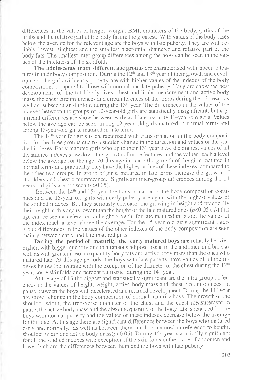differences in the values of height, weight, BMI, diameters of the body, girths of the limbs and the relative part of the body fat are the greatest. With values of the body sizes below the average for the relevant age are the boys with late puberty. They are with reliably lowest, slightest and the smallest biacromial diameter and relative part of the body fats. The smallest inter-group differences among the boys can be seen in the values of the thickness of the skinfolds.

**The adolescents from different age groups** are characterized with specific features in their body composition. During the  $12<sup>th</sup>$  and  $13<sup>th</sup>$  year of their growth and development, the girls with early puberty are with higher values of the indexes of the body composition, compared to those with normal and late puberty. They are show the best development of the total body sizes, chest and limbs measurement and active body mass, the chest circumferences and circumferences of the limbs during the  $12<sup>th</sup>$  year, as well as subscapular skinfold during the  $13<sup>th</sup>$  year. The differences in the values of the indexes between the groups of 12-year-old girls are statistically insignificant, but significant differences are show between early and late maturity 13-year-old girls. Values below the average can be seen among 12-year-old girls matured in normal terms and among 13-year-old girls, matured in late terms.

The 14<sup>th</sup> year for girls is characterized with transformation in the body composition for the three groups due to a sudden change in the direction and values of the studied indexes. Early matured girls who up to their 13<sup>th</sup> year have the highest values of all the studied indexes slow down the growth of more features and the values reach a level below the average for the age. At this age increase the growth of the girls matured in normal terms and practically they have the highest values of these indexes, compared to the other two groups. In group of girls, matured in late terms increase the growth of shoulders and chest circumference. Significant inter-group differences among the 14 years old girls are not seen  $(p>0.05)$ .

Between the  $14<sup>th</sup>$  and  $15<sup>th</sup>$  year the transformation of the body composition continues and the 15-year-old girls with early puberty are again with the highest values of the studied indexes. But they seriously decrease the growing in height and practically their height at this age is lower than the height of the late matured ones ( $p<0.05$ ). At this age can be seen acceleration in height growth for late matured girls and the values of the index reach a level above the average. For the 15-year-old girls significant intergroup differences in the values of the other indexes of the body composition are seen mainly between early and late matured girls.

**During the period of maturity the early matured boys are reliably heavier.** higher, with bigger quantity of subcutaneous adipose tissue in the abdomen and back as well as with greater absolute quantity body fats and active body mass than the ones who matured late. At this age periods the boys with late puberty have values of all the indexes below the average with the exception of the diameter of the chest during the  $12<sup>th</sup>$ year, some skinfolds and percent fat tissue during the  $14<sup>th</sup>$  year.

At the age of 13 the biggest and statistically significant are the intra-group differences in the values of height, weight, active body mass and chest circumferences in pause between the boys with accelerated and retarded development. During the  $14<sup>th</sup>$  year are show change in the body composition of normal maturity boys. The growth of the shoulder width, the transverse diameter of the chest and the chest measurement in pause, the active body mass and the absolute quantity of the body fats is retarded for the boys with normal puberty and the values of these indexes decrease below the average for this age. At this age there are significant differences between the boys who matured early and normally, as well as between them and late matured in reference to height, shoulder width and active body mass( $p$ <0.05). During 15<sup>th</sup> year statistically significant for all the studied indexes with exception of the skin folds in the place of abdomen and lower limb are the differences between them and the boys with late puberty.